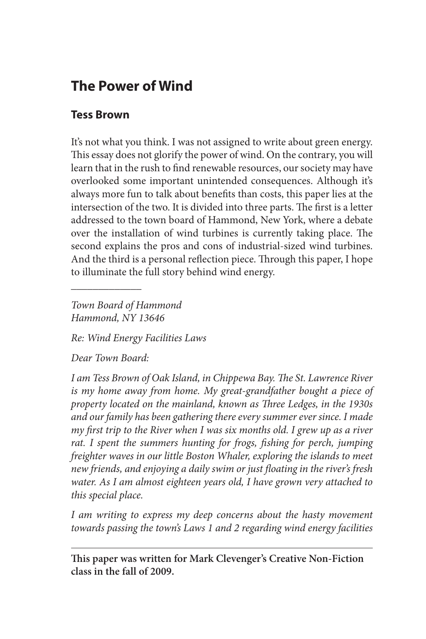# **The Power of Wind**

## **Tess Brown**

It's not what you think. I was not assigned to write about green energy. This essay does not glorify the power of wind. On the contrary, you will learn that in the rush to find renewable resources, our society may have overlooked some important unintended consequences. Although it's always more fun to talk about benefits than costs, this paper lies at the intersection of the two. It is divided into three parts. The first is a letter addressed to the town board of Hammond, New York, where a debate over the installation of wind turbines is currently taking place. The second explains the pros and cons of industrial-sized wind turbines. And the third is a personal reflection piece. Through this paper, I hope to illuminate the full story behind wind energy.

*Town Board of Hammond Hammond, NY 13646*

*Re: Wind Energy Facilities Laws*

*Dear Town Board:*

 $\overline{\phantom{a}}$  , where  $\overline{\phantom{a}}$ 

*I am Tess Brown of Oak Island, in Chippewa Bay. The St. Lawrence River is my home away from home. My great-grandfather bought a piece of property located on the mainland, known as Three Ledges, in the 1930s and our family has been gathering there every summer ever since. I made my first trip to the River when I was six months old. I grew up as a river rat. I spent the summers hunting for frogs, fishing for perch, jumping freighter waves in our little Boston Whaler, exploring the islands to meet new friends, and enjoying a daily swim or just floating in the river's fresh water. As I am almost eighteen years old, I have grown very attached to this special place.* 

*I am writing to express my deep concerns about the hasty movement towards passing the town's Laws 1 and 2 regarding wind energy facilities* 

**This paper was written for Mark Clevenger's Creative Non-Fiction class in the fall of 2009.**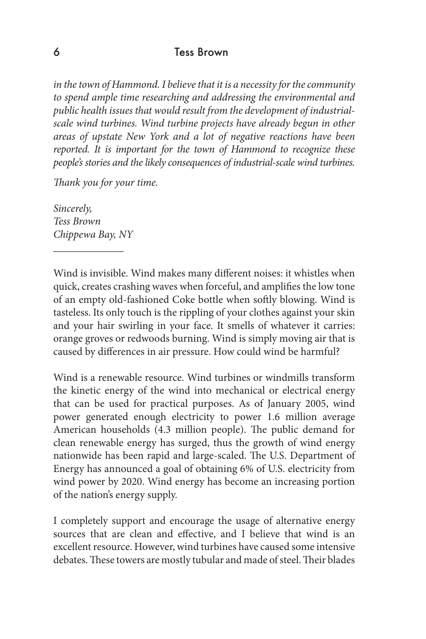*in the town of Hammond. I believe that it is a necessity for the community to spend ample time researching and addressing the environmental and public health issues that would result from the development of industrialscale wind turbines. Wind turbine projects have already begun in other areas of upstate New York and a lot of negative reactions have been reported. It is important for the town of Hammond to recognize these people's stories and the likely consequences of industrial-scale wind turbines.*

*Thank you for your time.*

*Sincerely, Tess Brown Chippewa Bay, NY*

 $\overline{\phantom{a}}$  , where  $\overline{\phantom{a}}$ 

Wind is invisible. Wind makes many different noises: it whistles when quick, creates crashing waves when forceful, and amplifies the low tone of an empty old-fashioned Coke bottle when softly blowing. Wind is tasteless. Its only touch is the rippling of your clothes against your skin and your hair swirling in your face. It smells of whatever it carries: orange groves or redwoods burning. Wind is simply moving air that is caused by differences in air pressure. How could wind be harmful?

Wind is a renewable resource. Wind turbines or windmills transform the kinetic energy of the wind into mechanical or electrical energy that can be used for practical purposes. As of January 2005, wind power generated enough electricity to power 1.6 million average American households (4.3 million people). The public demand for clean renewable energy has surged, thus the growth of wind energy nationwide has been rapid and large-scaled. The U.S. Department of Energy has announced a goal of obtaining 6% of U.S. electricity from wind power by 2020. Wind energy has become an increasing portion of the nation's energy supply.

I completely support and encourage the usage of alternative energy sources that are clean and effective, and I believe that wind is an excellent resource. However, wind turbines have caused some intensive debates. These towers are mostly tubular and made of steel. Their blades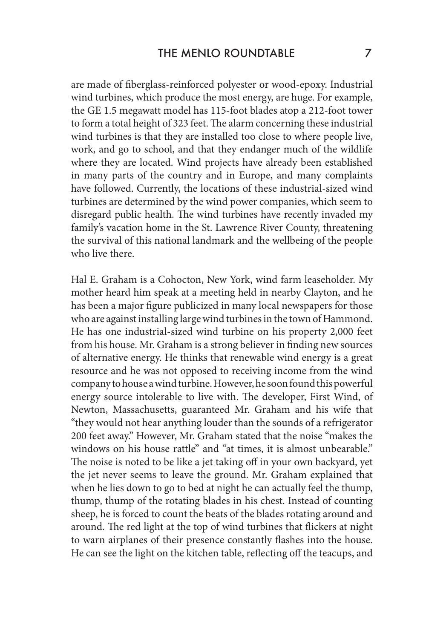are made of fiberglass-reinforced polyester or wood-epoxy. Industrial wind turbines, which produce the most energy, are huge. For example, the GE 1.5 megawatt model has 115-foot blades atop a 212-foot tower to form a total height of 323 feet. The alarm concerning these industrial wind turbines is that they are installed too close to where people live, work, and go to school, and that they endanger much of the wildlife where they are located. Wind projects have already been established in many parts of the country and in Europe, and many complaints have followed. Currently, the locations of these industrial-sized wind turbines are determined by the wind power companies, which seem to disregard public health. The wind turbines have recently invaded my family's vacation home in the St. Lawrence River County, threatening the survival of this national landmark and the wellbeing of the people who live there.

Hal E. Graham is a Cohocton, New York, wind farm leaseholder. My mother heard him speak at a meeting held in nearby Clayton, and he has been a major figure publicized in many local newspapers for those who are against installing large wind turbines in the town of Hammond. He has one industrial-sized wind turbine on his property 2,000 feet from his house. Mr. Graham is a strong believer in finding new sources of alternative energy. He thinks that renewable wind energy is a great resource and he was not opposed to receiving income from the wind company to house a wind turbine. However, he soon found this powerful energy source intolerable to live with. The developer, First Wind, of Newton, Massachusetts, guaranteed Mr. Graham and his wife that "they would not hear anything louder than the sounds of a refrigerator 200 feet away." However, Mr. Graham stated that the noise "makes the windows on his house rattle" and "at times, it is almost unbearable." The noise is noted to be like a jet taking off in your own backyard, yet the jet never seems to leave the ground. Mr. Graham explained that when he lies down to go to bed at night he can actually feel the thump, thump, thump of the rotating blades in his chest. Instead of counting sheep, he is forced to count the beats of the blades rotating around and around. The red light at the top of wind turbines that flickers at night to warn airplanes of their presence constantly flashes into the house. He can see the light on the kitchen table, reflecting off the teacups, and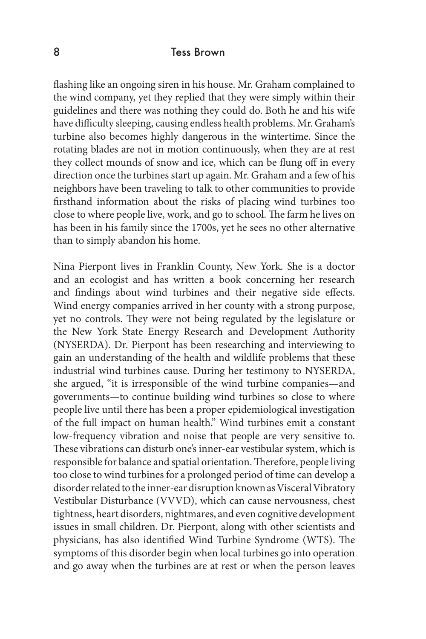flashing like an ongoing siren in his house. Mr. Graham complained to the wind company, yet they replied that they were simply within their guidelines and there was nothing they could do. Both he and his wife have difficulty sleeping, causing endless health problems. Mr. Graham's turbine also becomes highly dangerous in the wintertime. Since the rotating blades are not in motion continuously, when they are at rest they collect mounds of snow and ice, which can be flung off in every direction once the turbines start up again. Mr. Graham and a few of his neighbors have been traveling to talk to other communities to provide firsthand information about the risks of placing wind turbines too close to where people live, work, and go to school. The farm he lives on has been in his family since the 1700s, yet he sees no other alternative than to simply abandon his home.

Nina Pierpont lives in Franklin County, New York. She is a doctor and an ecologist and has written a book concerning her research and findings about wind turbines and their negative side effects. Wind energy companies arrived in her county with a strong purpose, yet no controls. They were not being regulated by the legislature or the New York State Energy Research and Development Authority (NYSERDA). Dr. Pierpont has been researching and interviewing to gain an understanding of the health and wildlife problems that these industrial wind turbines cause. During her testimony to NYSERDA, she argued, "it is irresponsible of the wind turbine companies—and governments—to continue building wind turbines so close to where people live until there has been a proper epidemiological investigation of the full impact on human health." Wind turbines emit a constant low-frequency vibration and noise that people are very sensitive to. These vibrations can disturb one's inner-ear vestibular system, which is responsible for balance and spatial orientation. Therefore, people living too close to wind turbines for a prolonged period of time can develop a disorder related to the inner-ear disruption known as Visceral Vibratory Vestibular Disturbance (VVVD), which can cause nervousness, chest tightness, heart disorders, nightmares, and even cognitive development issues in small children. Dr. Pierpont, along with other scientists and physicians, has also identified Wind Turbine Syndrome (WTS). The symptoms of this disorder begin when local turbines go into operation and go away when the turbines are at rest or when the person leaves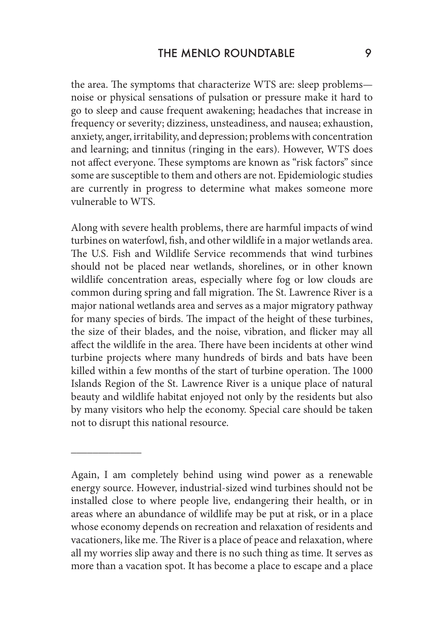the area. The symptoms that characterize WTS are: sleep problems noise or physical sensations of pulsation or pressure make it hard to go to sleep and cause frequent awakening; headaches that increase in frequency or severity; dizziness, unsteadiness, and nausea; exhaustion, anxiety, anger, irritability, and depression; problems with concentration and learning; and tinnitus (ringing in the ears). However, WTS does not affect everyone. These symptoms are known as "risk factors" since some are susceptible to them and others are not. Epidemiologic studies are currently in progress to determine what makes someone more vulnerable to WTS.

Along with severe health problems, there are harmful impacts of wind turbines on waterfowl, fish, and other wildlife in a major wetlands area. The U.S. Fish and Wildlife Service recommends that wind turbines should not be placed near wetlands, shorelines, or in other known wildlife concentration areas, especially where fog or low clouds are common during spring and fall migration. The St. Lawrence River is a major national wetlands area and serves as a major migratory pathway for many species of birds. The impact of the height of these turbines, the size of their blades, and the noise, vibration, and flicker may all affect the wildlife in the area. There have been incidents at other wind turbine projects where many hundreds of birds and bats have been killed within a few months of the start of turbine operation. The 1000 Islands Region of the St. Lawrence River is a unique place of natural beauty and wildlife habitat enjoyed not only by the residents but also by many visitors who help the economy. Special care should be taken not to disrupt this national resource.

 $\overline{\phantom{a}}$  , where  $\overline{\phantom{a}}$ 

Again, I am completely behind using wind power as a renewable energy source. However, industrial-sized wind turbines should not be installed close to where people live, endangering their health, or in areas where an abundance of wildlife may be put at risk, or in a place whose economy depends on recreation and relaxation of residents and vacationers, like me. The River is a place of peace and relaxation, where all my worries slip away and there is no such thing as time. It serves as more than a vacation spot. It has become a place to escape and a place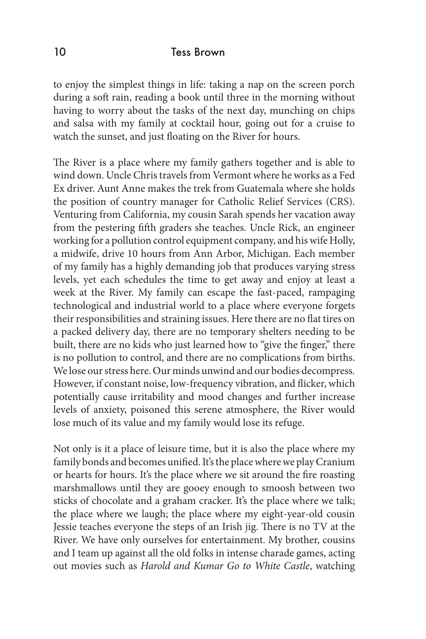to enjoy the simplest things in life: taking a nap on the screen porch during a soft rain, reading a book until three in the morning without having to worry about the tasks of the next day, munching on chips and salsa with my family at cocktail hour, going out for a cruise to watch the sunset, and just floating on the River for hours.

The River is a place where my family gathers together and is able to wind down. Uncle Chris travels from Vermont where he works as a Fed Ex driver. Aunt Anne makes the trek from Guatemala where she holds the position of country manager for Catholic Relief Services (CRS). Venturing from California, my cousin Sarah spends her vacation away from the pestering fifth graders she teaches. Uncle Rick, an engineer working for a pollution control equipment company, and his wife Holly, a midwife, drive 10 hours from Ann Arbor, Michigan. Each member of my family has a highly demanding job that produces varying stress levels, yet each schedules the time to get away and enjoy at least a week at the River. My family can escape the fast-paced, rampaging technological and industrial world to a place where everyone forgets their responsibilities and straining issues. Here there are no flat tires on a packed delivery day, there are no temporary shelters needing to be built, there are no kids who just learned how to "give the finger," there is no pollution to control, and there are no complications from births. We lose our stress here. Our minds unwind and our bodies decompress. However, if constant noise, low-frequency vibration, and flicker, which potentially cause irritability and mood changes and further increase levels of anxiety, poisoned this serene atmosphere, the River would lose much of its value and my family would lose its refuge.

Not only is it a place of leisure time, but it is also the place where my family bonds and becomes unified. It's the place where we play Cranium or hearts for hours. It's the place where we sit around the fire roasting marshmallows until they are gooey enough to smoosh between two sticks of chocolate and a graham cracker. It's the place where we talk; the place where we laugh; the place where my eight-year-old cousin Jessie teaches everyone the steps of an Irish jig. There is no TV at the River. We have only ourselves for entertainment. My brother, cousins and I team up against all the old folks in intense charade games, acting out movies such as *Harold and Kumar Go to White Castle*, watching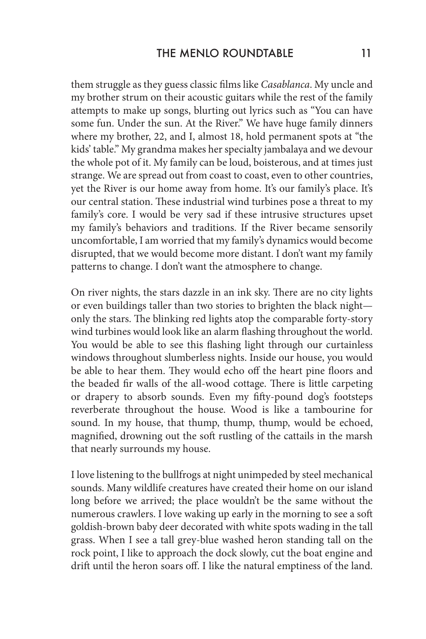them struggle as they guess classic films like *Casablanca*. My uncle and my brother strum on their acoustic guitars while the rest of the family attempts to make up songs, blurting out lyrics such as "You can have some fun. Under the sun. At the River." We have huge family dinners where my brother, 22, and I, almost 18, hold permanent spots at "the kids' table." My grandma makes her specialty jambalaya and we devour the whole pot of it. My family can be loud, boisterous, and at times just strange. We are spread out from coast to coast, even to other countries, yet the River is our home away from home. It's our family's place. It's our central station. These industrial wind turbines pose a threat to my family's core. I would be very sad if these intrusive structures upset my family's behaviors and traditions. If the River became sensorily uncomfortable, I am worried that my family's dynamics would become disrupted, that we would become more distant. I don't want my family patterns to change. I don't want the atmosphere to change.

On river nights, the stars dazzle in an ink sky. There are no city lights or even buildings taller than two stories to brighten the black night only the stars. The blinking red lights atop the comparable forty-story wind turbines would look like an alarm flashing throughout the world. You would be able to see this flashing light through our curtainless windows throughout slumberless nights. Inside our house, you would be able to hear them. They would echo off the heart pine floors and the beaded fir walls of the all-wood cottage. There is little carpeting or drapery to absorb sounds. Even my fifty-pound dog's footsteps reverberate throughout the house. Wood is like a tambourine for sound. In my house, that thump, thump, thump, would be echoed, magnified, drowning out the soft rustling of the cattails in the marsh that nearly surrounds my house.

I love listening to the bullfrogs at night unimpeded by steel mechanical sounds. Many wildlife creatures have created their home on our island long before we arrived; the place wouldn't be the same without the numerous crawlers. I love waking up early in the morning to see a soft goldish-brown baby deer decorated with white spots wading in the tall grass. When I see a tall grey-blue washed heron standing tall on the rock point, I like to approach the dock slowly, cut the boat engine and drift until the heron soars off. I like the natural emptiness of the land.